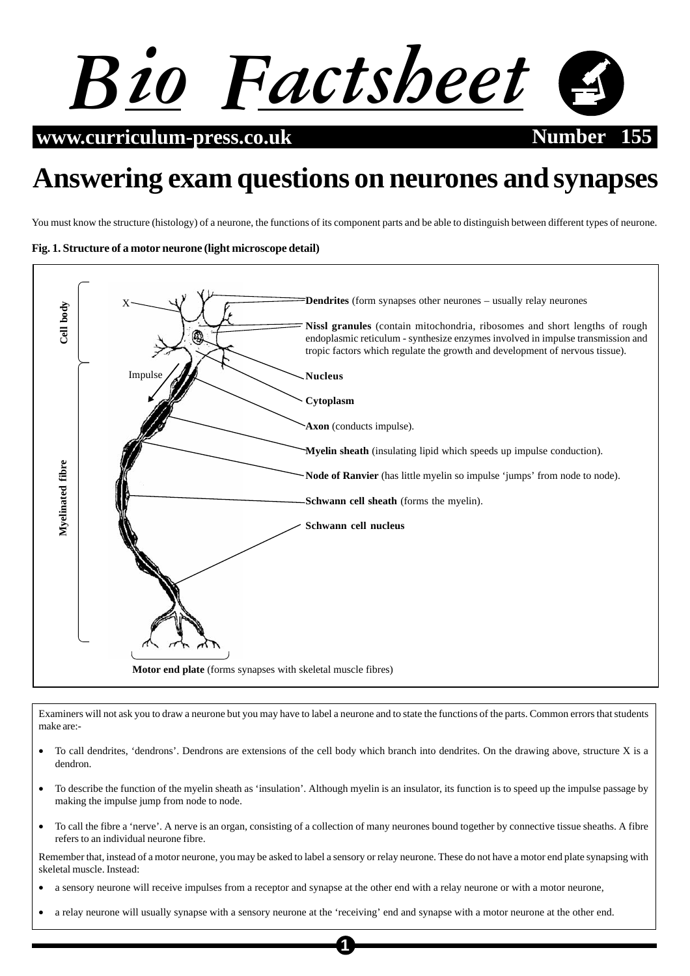

**www.curriculum-press.co.uk Number** 1555

# **Answering exam questions on neurones and synapses**

You must know the structure (histology) of a neurone, the functions of its component parts and be able to distinguish between different types of neurone.

## **Fig. 1. Structure of a motor neurone (light microscope detail)**



Examiners will not ask you to draw a neurone but you may have to label a neurone and to state the functions of the parts. Common errors that students make are:-

- To call dendrites, 'dendrons'. Dendrons are extensions of the cell body which branch into dendrites. On the drawing above, structure X is a dendron.
- To describe the function of the myelin sheath as 'insulation'. Although myelin is an insulator, its function is to speed up the impulse passage by making the impulse jump from node to node.
- To call the fibre a 'nerve'. A nerve is an organ, consisting of a collection of many neurones bound together by connective tissue sheaths. A fibre refers to an individual neurone fibre.

Remember that, instead of a motor neurone, you may be asked to label a sensory or relay neurone. These do not have a motor end plate synapsing with skeletal muscle. Instead:

**1**

- a sensory neurone will receive impulses from a receptor and synapse at the other end with a relay neurone or with a motor neurone,
- a relay neurone will usually synapse with a sensory neurone at the 'receiving' end and synapse with a motor neurone at the other end.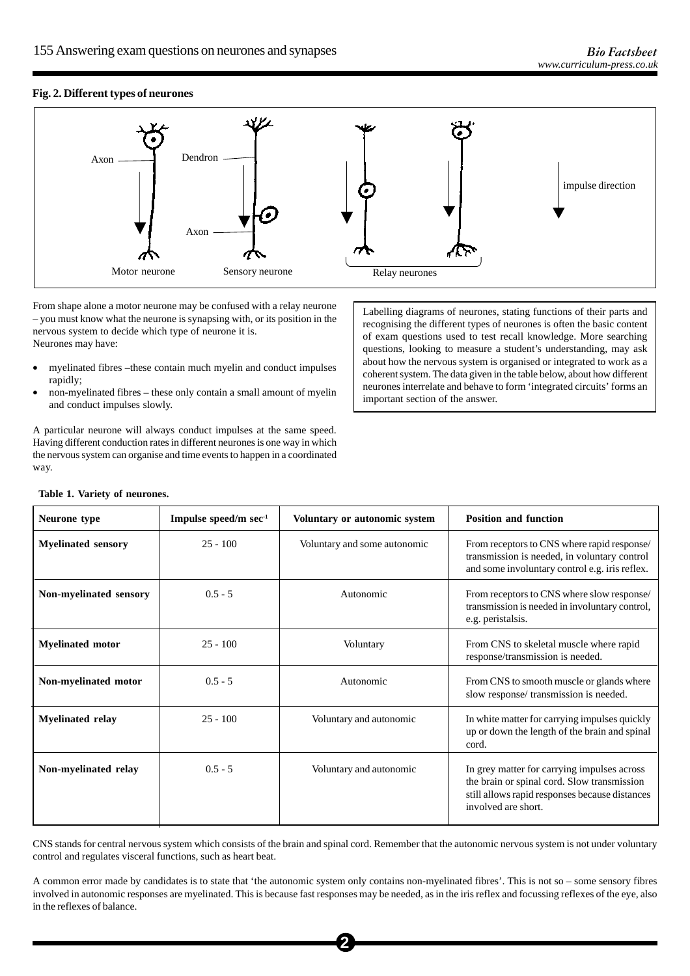## **Fig. 2. Different types of neurones**



From shape alone a motor neurone may be confused with a relay neurone – you must know what the neurone is synapsing with, or its position in the nervous system to decide which type of neurone it is. Neurones may have:

- myelinated fibres –these contain much myelin and conduct impulses rapidly;
- non-myelinated fibres these only contain a small amount of myelin and conduct impulses slowly.

A particular neurone will always conduct impulses at the same speed. Having different conduction rates in different neurones is one way in which the nervous system can organise and time events to happen in a coordinated way.

Labelling diagrams of neurones, stating functions of their parts and recognising the different types of neurones is often the basic content of exam questions used to test recall knowledge. More searching questions, looking to measure a student's understanding, may ask about how the nervous system is organised or integrated to work as a coherent system. The data given in the table below, about how different neurones interrelate and behave to form 'integrated circuits' forms an important section of the answer.

|  |  |  |  | Table 1. Variety of neurones. |
|--|--|--|--|-------------------------------|
|--|--|--|--|-------------------------------|

| Neurone type              | Impulse speed/m sec-1 | Voluntary or autonomic system | <b>Position and function</b>                                                                                                                                        |
|---------------------------|-----------------------|-------------------------------|---------------------------------------------------------------------------------------------------------------------------------------------------------------------|
| <b>Myelinated sensory</b> | $25 - 100$            | Voluntary and some autonomic  | From receptors to CNS where rapid response/<br>transmission is needed, in voluntary control<br>and some involuntary control e.g. iris reflex.                       |
| Non-myelinated sensory    | $0.5 - 5$             | Autonomic                     | From receptors to CNS where slow response/<br>transmission is needed in involuntary control,<br>e.g. peristalsis.                                                   |
| <b>Myelinated motor</b>   | $25 - 100$            | Voluntary                     | From CNS to skeletal muscle where rapid<br>response/transmission is needed.                                                                                         |
| Non-myelinated motor      | $0.5 - 5$             | Autonomic                     | From CNS to smooth muscle or glands where<br>slow response/ transmission is needed.                                                                                 |
| <b>Myelinated relay</b>   | $25 - 100$            | Voluntary and autonomic       | In white matter for carrying impulses quickly<br>up or down the length of the brain and spinal<br>cord.                                                             |
| Non-myelinated relay      | $0.5 - 5$             | Voluntary and autonomic       | In grey matter for carrying impulses across<br>the brain or spinal cord. Slow transmission<br>still allows rapid responses because distances<br>involved are short. |

CNS stands for central nervous system which consists of the brain and spinal cord. Remember that the autonomic nervous system is not under voluntary control and regulates visceral functions, such as heart beat.

A common error made by candidates is to state that 'the autonomic system only contains non-myelinated fibres'. This is not so – some sensory fibres involved in autonomic responses are myelinated. This is because fast responses may be needed, as in the iris reflex and focussing reflexes of the eye, also in the reflexes of balance.

**2**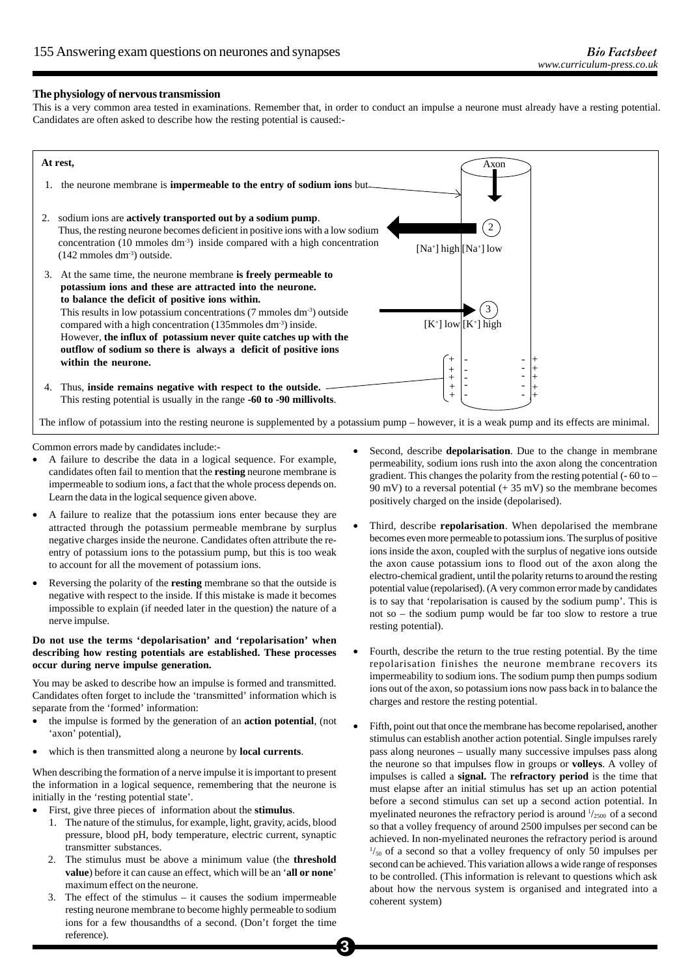#### **The physiology of nervous transmission**

This is a very common area tested in examinations. Remember that, in order to conduct an impulse a neurone must already have a resting potential. Candidates are often asked to describe how the resting potential is caused:-



Common errors made by candidates include:-

- A failure to describe the data in a logical sequence. For example, candidates often fail to mention that the **resting** neurone membrane is impermeable to sodium ions, a fact that the whole process depends on. Learn the data in the logical sequence given above.
- A failure to realize that the potassium ions enter because they are attracted through the potassium permeable membrane by surplus negative charges inside the neurone. Candidates often attribute the reentry of potassium ions to the potassium pump, but this is too weak to account for all the movement of potassium ions.
- Reversing the polarity of the **resting** membrane so that the outside is negative with respect to the inside. If this mistake is made it becomes impossible to explain (if needed later in the question) the nature of a nerve impulse.

#### **Do not use the terms 'depolarisation' and 'repolarisation' when describing how resting potentials are established. These processes occur during nerve impulse generation.**

You may be asked to describe how an impulse is formed and transmitted. Candidates often forget to include the 'transmitted' information which is separate from the 'formed' information:

- the impulse is formed by the generation of an **action potential**, (not 'axon' potential),
- which is then transmitted along a neurone by **local currents**.

When describing the formation of a nerve impulse it is important to present the information in a logical sequence, remembering that the neurone is initially in the 'resting potential state'.

- First, give three pieces of information about the **stimulus**.
	- 1. The nature of the stimulus, for example, light, gravity, acids, blood pressure, blood pH, body temperature, electric current, synaptic transmitter substances.
	- 2. The stimulus must be above a minimum value (the **threshold value**) before it can cause an effect, which will be an '**all or none**' maximum effect on the neurone.
	- 3. The effect of the stimulus it causes the sodium impermeable resting neurone membrane to become highly permeable to sodium ions for a few thousandths of a second. (Don't forget the time reference).
- Second, describe **depolarisation**. Due to the change in membrane permeability, sodium ions rush into the axon along the concentration gradient. This changes the polarity from the resting potential  $(-60 \text{ to } -$ 90 mV) to a reversal potential  $(+ 35 \text{ mV})$  so the membrane becomes positively charged on the inside (depolarised).
- Third, describe **repolarisation**. When depolarised the membrane becomes even more permeable to potassium ions. The surplus of positive ions inside the axon, coupled with the surplus of negative ions outside the axon cause potassium ions to flood out of the axon along the electro-chemical gradient, until the polarity returns to around the resting potential value (repolarised). (A very common error made by candidates is to say that 'repolarisation is caused by the sodium pump'. This is not so – the sodium pump would be far too slow to restore a true resting potential).
- Fourth, describe the return to the true resting potential. By the time repolarisation finishes the neurone membrane recovers its impermeability to sodium ions. The sodium pump then pumps sodium ions out of the axon, so potassium ions now pass back in to balance the charges and restore the resting potential.
- Fifth, point out that once the membrane has become repolarised, another stimulus can establish another action potential. Single impulses rarely pass along neurones – usually many successive impulses pass along the neurone so that impulses flow in groups or **volleys**. A volley of impulses is called a **signal.** The **refractory period** is the time that must elapse after an initial stimulus has set up an action potential before a second stimulus can set up a second action potential. In myelinated neurones the refractory period is around  $\frac{1}{2500}$  of a second so that a volley frequency of around 2500 impulses per second can be achieved. In non-myelinated neurones the refractory period is around  $\frac{1}{50}$  of a second so that a volley frequency of only 50 impulses per second can be achieved. This variation allows a wide range of responses to be controlled. (This information is relevant to questions which ask about how the nervous system is organised and integrated into a coherent system)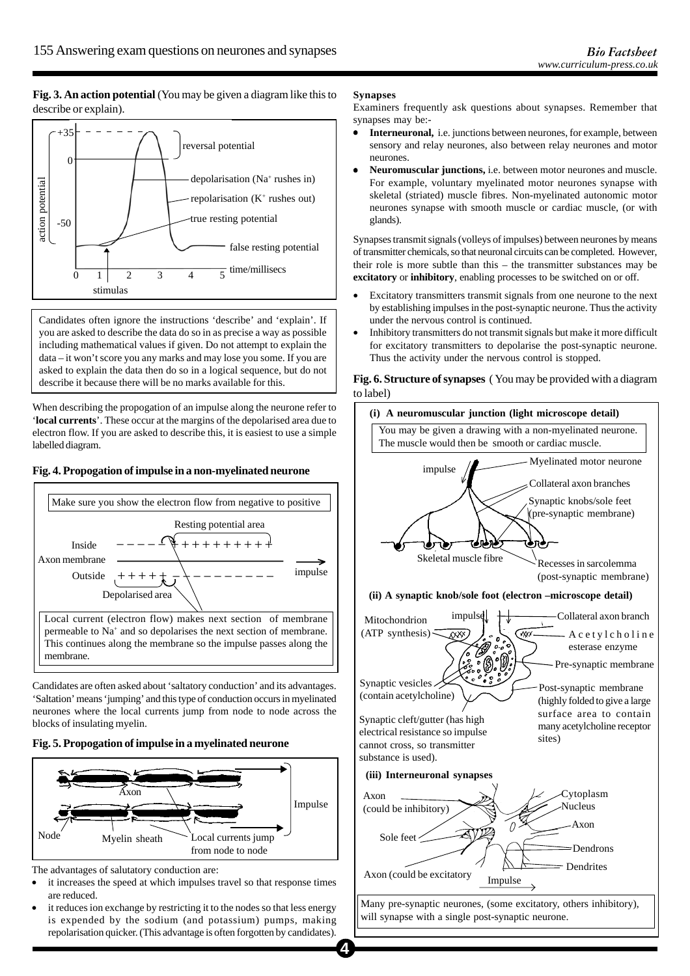**Fig. 3. An action potential** (You may be given a diagram like this to describe or explain).



Candidates often ignore the instructions 'describe' and 'explain'. If you are asked to describe the data do so in as precise a way as possible including mathematical values if given. Do not attempt to explain the data – it won't score you any marks and may lose you some. If you are asked to explain the data then do so in a logical sequence, but do not describe it because there will be no marks available for this.

When describing the propogation of an impulse along the neurone refer to '**local currents**'. These occur at the margins of the depolarised area due to electron flow. If you are asked to describe this, it is easiest to use a simple labelled diagram.

## **Fig. 4. Propogation of impulse in a non-myelinated neurone**



Candidates are often asked about 'saltatory conduction' and its advantages. 'Saltation' means 'jumping' and this type of conduction occurs in myelinated neurones where the local currents jump from node to node across the blocks of insulating myelin.

## **Fig. 5. Propogation of impulse in a myelinated neurone**



The advantages of salutatory conduction are:

- it increases the speed at which impulses travel so that response times are reduced.
- it reduces ion exchange by restricting it to the nodes so that less energy is expended by the sodium (and potassium) pumps, making repolarisation quicker. (This advantage is often forgotten by candidates).

## **Synapses**

Examiners frequently ask questions about synapses. Remember that synapses may be:-

- **Interneuronal,** i.e. junctions between neurones, for example, between sensory and relay neurones, also between relay neurones and motor neurones.
- **Neuromuscular junctions,** i.e. between motor neurones and muscle. For example, voluntary myelinated motor neurones synapse with skeletal (striated) muscle fibres. Non-myelinated autonomic motor neurones synapse with smooth muscle or cardiac muscle, (or with glands).

Synapses transmit signals (volleys of impulses) between neurones by means of transmitter chemicals, so that neuronal circuits can be completed. However, their role is more subtle than this – the transmitter substances may be **excitatory** or **inhibitory**, enabling processes to be switched on or off.

- Excitatory transmitters transmit signals from one neurone to the next by establishing impulses in the post-synaptic neurone. Thus the activity under the nervous control is continued.
- Inhibitory transmitters do not transmit signals but make it more difficult for excitatory transmitters to depolarise the post-synaptic neurone. Thus the activity under the nervous control is stopped.

## **Fig. 6. Structure of synapses** ( You may be provided with a diagram to label)